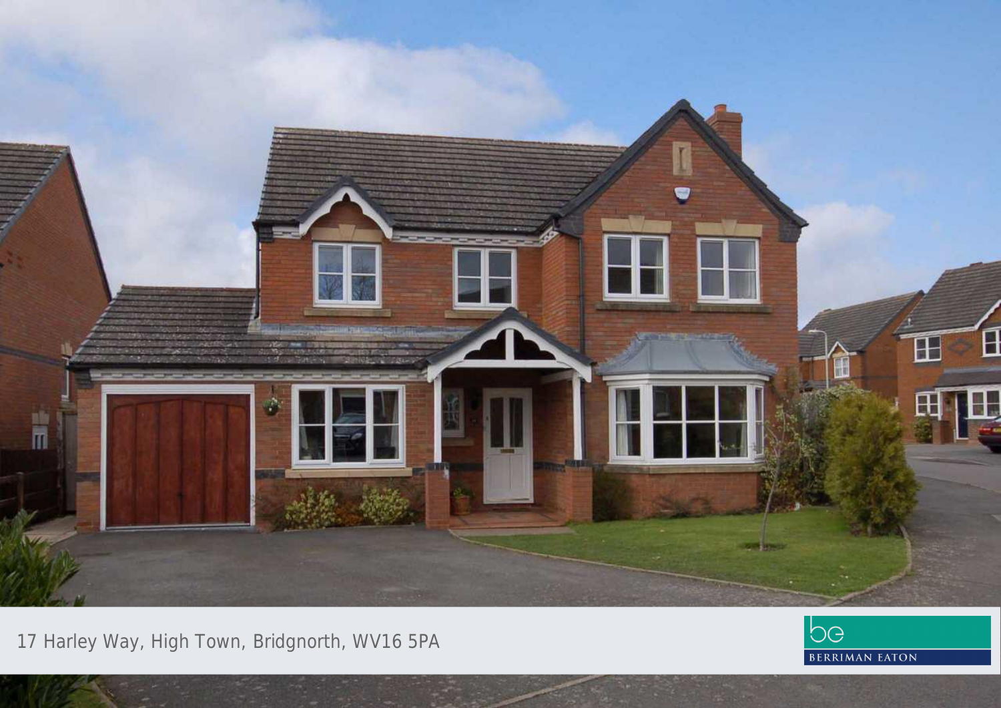

17 Harley Way, High Town, Bridgnorth, WV16 5PA

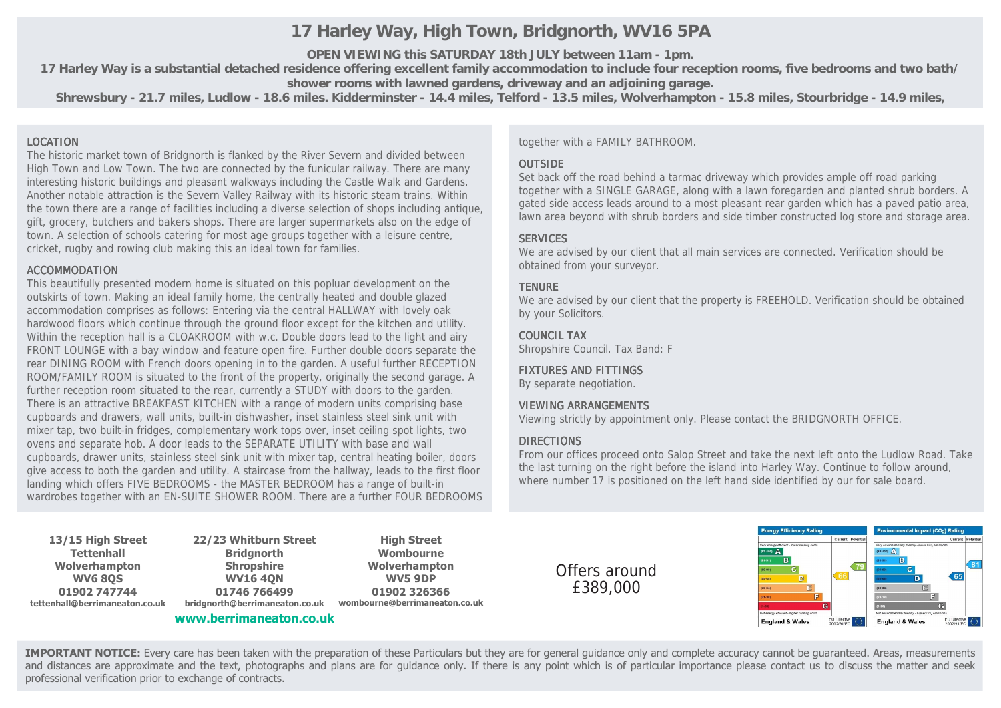# **17 Harley Way, High Town, Bridgnorth, WV16 5PA**

**OPEN VIEWING this SATURDAY 18th JULY between 11am - 1pm.**

**17 Harley Way is a substantial detached residence offering excellent family accommodation to include four reception rooms, five bedrooms and two bath/ shower rooms with lawned gardens, driveway and an adjoining garage.**

**Shrewsbury - 21.7 miles, Ludlow - 18.6 miles. Kidderminster - 14.4 miles, Telford - 13.5 miles, Wolverhampton - 15.8 miles, Stourbridge - 14.9 miles,**

#### LOCATION

The historic market town of Bridgnorth is flanked by the River Severn and divided between High Town and Low Town. The two are connected by the funicular railway. There are many interesting historic buildings and pleasant walkways including the Castle Walk and Gardens. Another notable attraction is the Severn Valley Railway with its historic steam trains. Within the town there are a range of facilities including a diverse selection of shops including antique, gift, grocery, butchers and bakers shops. There are larger supermarkets also on the edge of town. A selection of schools catering for most age groups together with a leisure centre, cricket, rugby and rowing club making this an ideal town for families.

#### ACCOMMODATION

This beautifully presented modern home is situated on this popluar development on the outskirts of town. Making an ideal family home, the centrally heated and double glazed accommodation comprises as follows: Entering via the central HALLWAY with lovely oak hardwood floors which continue through the ground floor except for the kitchen and utility. Within the reception hall is a CLOAKROOM with w.c. Double doors lead to the light and airy FRONT LOUNGE with a bay window and feature open fire. Further double doors separate the rear DINING ROOM with French doors opening in to the garden. A useful further RECEPTION ROOM/FAMILY ROOM is situated to the front of the property, originally the second garage. A further reception room situated to the rear, currently a STUDY with doors to the garden. There is an attractive BREAKFAST KITCHEN with a range of modern units comprising base cupboards and drawers, wall units, built-in dishwasher, inset stainless steel sink unit with mixer tap, two built-in fridges, complementary work tops over, inset ceiling spot lights, two ovens and separate hob. A door leads to the SEPARATE UTILITY with base and wall cupboards, drawer units, stainless steel sink unit with mixer tap, central heating boiler, doors give access to both the garden and utility. A staircase from the hallway, leads to the first floor landing which offers FIVE BEDROOMS - the MASTER BEDROOM has a range of built-in wardrobes together with an EN-SUITE SHOWER ROOM. There are a further FOUR BEDROOMS together with a FAMILY BATHROOM.

## **OUTSIDE**

Set back off the road behind a tarmac driveway which provides ample off road parking together with a SINGLE GARAGE, along with a lawn foregarden and planted shrub borders. A gated side access leads around to a most pleasant rear garden which has a paved patio area, lawn area beyond with shrub borders and side timber constructed log store and storage area.

## **SERVICES**

We are advised by our client that all main services are connected. Verification should be obtained from your surveyor.

### **TFNURF**

We are advised by our client that the property is FREEHOLD. Verification should be obtained by your Solicitors.

### COUNCIL TAX

Shropshire Council. Tax Band: F

### FIXTURES AND FITTINGS

By separate negotiation.

#### VIEWING ARRANGEMENTS

Viewing strictly by appointment only. Please contact the BRIDGNORTH OFFICE.

### DIRECTIONS

From our offices proceed onto Salop Street and take the next left onto the Ludlow Road. Take the last turning on the right before the island into Harley Way. Continue to follow around, where number 17 is positioned on the left hand side identified by our for sale board.

**13/15 High Street Tettenhall Wolverhampton WV6 8QS 01902 747744 tettenhall@berrimaneaton.co.uk**

**22/23 Whitburn Street Bridgnorth Shropshire WV16 4QN 01746 766499 bridgnorth@berrimaneaton.co.uk**

**www.berrimaneaton.co.uk**

**High Street Wombourne Wolverhampton WV5 9DP 01902 326366 wombourne@berrimaneaton.co.uk**

Offers around £389,000



**IMPORTANT NOTICE:** Every care has been taken with the preparation of these Particulars but they are for general guidance only and complete accuracy cannot be guaranteed. Areas, measurements and distances are approximate and the text, photographs and plans are for guidance only. If there is any point which is of particular importance please contact us to discuss the matter and seek professional verification prior to exchange of contracts.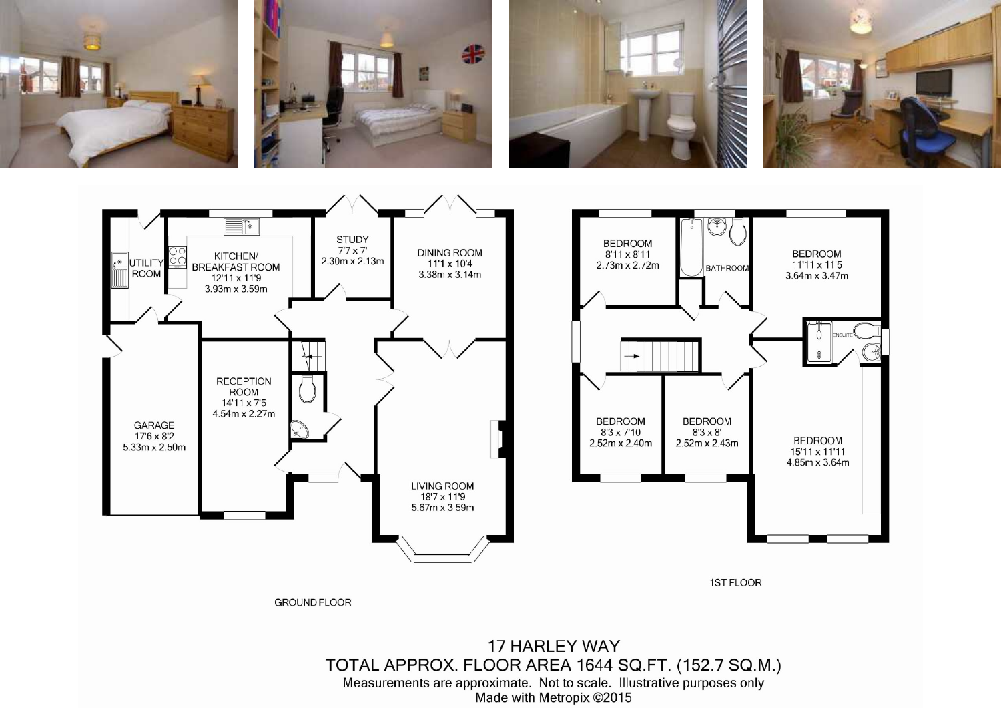



1ST FLOOR

**GROUND FLOOR**